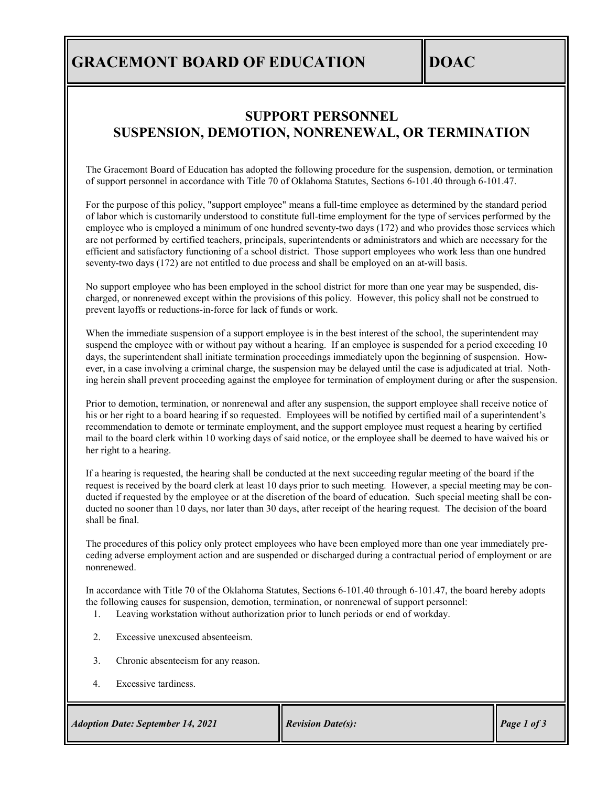## **GRACEMONT BOARD OF EDUCATION DOAC**

#### **SUPPORT PERSONNEL SUSPENSION, DEMOTION, NONRENEWAL, OR TERMINATION**

The Gracemont Board of Education has adopted the following procedure for the suspension, demotion, or termination of support personnel in accordance with Title 70 of Oklahoma Statutes, Sections 6-101.40 through 6-101.47.

For the purpose of this policy, "support employee" means a full-time employee as determined by the standard period of labor which is customarily understood to constitute full-time employment for the type of services performed by the employee who is employed a minimum of one hundred seventy-two days (172) and who provides those services which are not performed by certified teachers, principals, superintendents or administrators and which are necessary for the efficient and satisfactory functioning of a school district. Those support employees who work less than one hundred seventy-two days (172) are not entitled to due process and shall be employed on an at-will basis.

No support employee who has been employed in the school district for more than one year may be suspended, discharged, or nonrenewed except within the provisions of this policy. However, this policy shall not be construed to prevent layoffs or reductions-in-force for lack of funds or work.

When the immediate suspension of a support employee is in the best interest of the school, the superintendent may suspend the employee with or without pay without a hearing. If an employee is suspended for a period exceeding 10 days, the superintendent shall initiate termination proceedings immediately upon the beginning of suspension. However, in a case involving a criminal charge, the suspension may be delayed until the case is adjudicated at trial. Nothing herein shall prevent proceeding against the employee for termination of employment during or after the suspension.

Prior to demotion, termination, or nonrenewal and after any suspension, the support employee shall receive notice of his or her right to a board hearing if so requested. Employees will be notified by certified mail of a superintendent's recommendation to demote or terminate employment, and the support employee must request a hearing by certified mail to the board clerk within 10 working days of said notice, or the employee shall be deemed to have waived his or her right to a hearing.

If a hearing is requested, the hearing shall be conducted at the next succeeding regular meeting of the board if the request is received by the board clerk at least 10 days prior to such meeting. However, a special meeting may be conducted if requested by the employee or at the discretion of the board of education. Such special meeting shall be conducted no sooner than 10 days, nor later than 30 days, after receipt of the hearing request. The decision of the board shall be final.

The procedures of this policy only protect employees who have been employed more than one year immediately preceding adverse employment action and are suspended or discharged during a contractual period of employment or are nonrenewed.

In accordance with Title 70 of the Oklahoma Statutes, Sections 6-101.40 through 6-101.47, the board hereby adopts the following causes for suspension, demotion, termination, or nonrenewal of support personnel:

- 1. Leaving workstation without authorization prior to lunch periods or end of workday.
- 2. Excessive unexcused absenteeism.
- 3. Chronic absenteeism for any reason.
- 4. Excessive tardiness.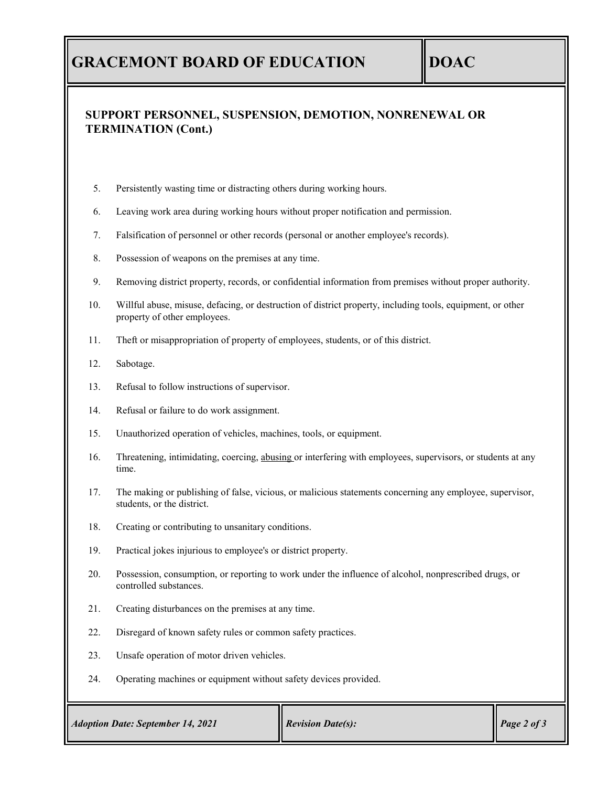## **GRACEMONT BOARD OF EDUCATION DOAC**

#### **SUPPORT PERSONNEL, SUSPENSION, DEMOTION, NONRENEWAL OR TERMINATION (Cont.)**

- 5. Persistently wasting time or distracting others during working hours.
- 6. Leaving work area during working hours without proper notification and permission.
- 7. Falsification of personnel or other records (personal or another employee's records).
- 8. Possession of weapons on the premises at any time.
- 9. Removing district property, records, or confidential information from premises without proper authority.
- 10. Willful abuse, misuse, defacing, or destruction of district property, including tools, equipment, or other property of other employees.
- 11. Theft or misappropriation of property of employees, students, or of this district.
- 12. Sabotage.
- 13. Refusal to follow instructions of supervisor.
- 14. Refusal or failure to do work assignment.
- 15. Unauthorized operation of vehicles, machines, tools, or equipment.
- 16. Threatening, intimidating, coercing, abusing or interfering with employees, supervisors, or students at any time.
- 17. The making or publishing of false, vicious, or malicious statements concerning any employee, supervisor, students, or the district.
- 18. Creating or contributing to unsanitary conditions.
- 19. Practical jokes injurious to employee's or district property.
- 20. Possession, consumption, or reporting to work under the influence of alcohol, nonprescribed drugs, or controlled substances.
- 21. Creating disturbances on the premises at any time.
- 22. Disregard of known safety rules or common safety practices.
- 23. Unsafe operation of motor driven vehicles.
- 24. Operating machines or equipment without safety devices provided.